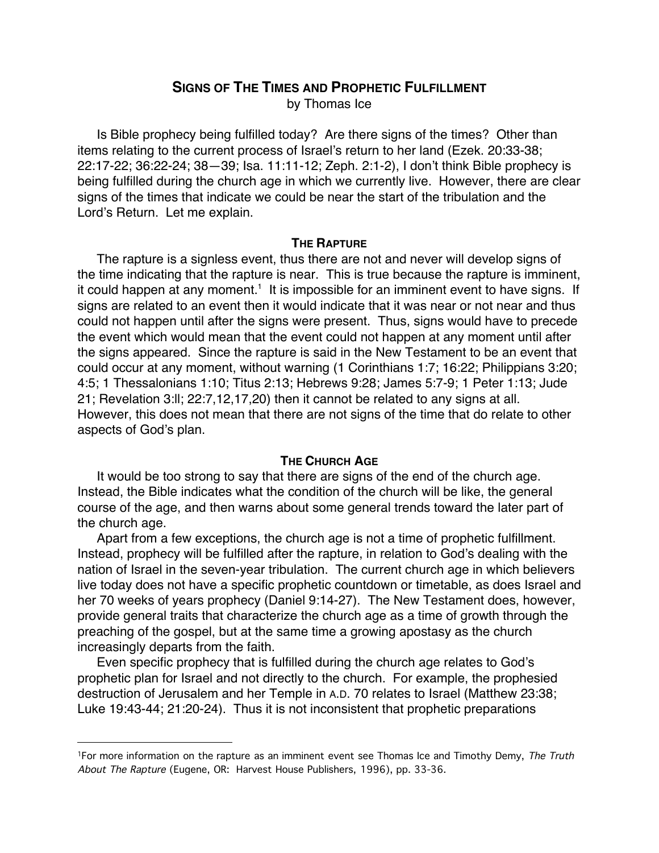## **SIGNS OF THE TIMES AND PROPHETIC FULFILLMENT** by Thomas Ice

Is Bible prophecy being fulfilled today? Are there signs of the times? Other than items relating to the current process of Israel's return to her land (Ezek. 20:33-38; 22:17-22; 36:22-24; 38—39; Isa. 11:11-12; Zeph. 2:1-2), I don't think Bible prophecy is being fulfilled during the church age in which we currently live. However, there are clear signs of the times that indicate we could be near the start of the tribulation and the Lord's Return. Let me explain.

## **THE RAPTURE**

The rapture is a signless event, thus there are not and never will develop signs of the time indicating that the rapture is near. This is true because the rapture is imminent, it could happen at any moment.<sup>1</sup> It is impossible for an imminent event to have signs. If signs are related to an event then it would indicate that it was near or not near and thus could not happen until after the signs were present. Thus, signs would have to precede the event which would mean that the event could not happen at any moment until after the signs appeared. Since the rapture is said in the New Testament to be an event that could occur at any moment, without warning (1 Corinthians 1:7; 16:22; Philippians 3:20; 4:5; 1 Thessalonians 1:10; Titus 2:13; Hebrews 9:28; James 5:7-9; 1 Peter 1:13; Jude 21; Revelation 3:ll; 22:7,12,17,20) then it cannot be related to any signs at all. However, this does not mean that there are not signs of the time that do relate to other aspects of God's plan.

#### **THE CHURCH AGE**

It would be too strong to say that there are signs of the end of the church age. Instead, the Bible indicates what the condition of the church will be like, the general course of the age, and then warns about some general trends toward the later part of the church age.

Apart from a few exceptions, the church age is not a time of prophetic fulfillment. Instead, prophecy will be fulfilled after the rapture, in relation to God's dealing with the nation of Israel in the seven-year tribulation. The current church age in which believers live today does not have a specific prophetic countdown or timetable, as does Israel and her 70 weeks of years prophecy (Daniel 9:14-27). The New Testament does, however, provide general traits that characterize the church age as a time of growth through the preaching of the gospel, but at the same time a growing apostasy as the church increasingly departs from the faith.

Even specific prophecy that is fulfilled during the church age relates to God's prophetic plan for Israel and not directly to the church. For example, the prophesied destruction of Jerusalem and her Temple in A.D. 70 relates to Israel (Matthew 23:38; Luke 19:43-44; 21:20-24). Thus it is not inconsistent that prophetic preparations

<sup>&</sup>lt;sup>1</sup>For more information on the rapture as an imminent event see Thomas Ice and Timothy Demy, The Truth About The Rapture (Eugene, OR: Harvest House Publishers, 1996), pp. 33-36.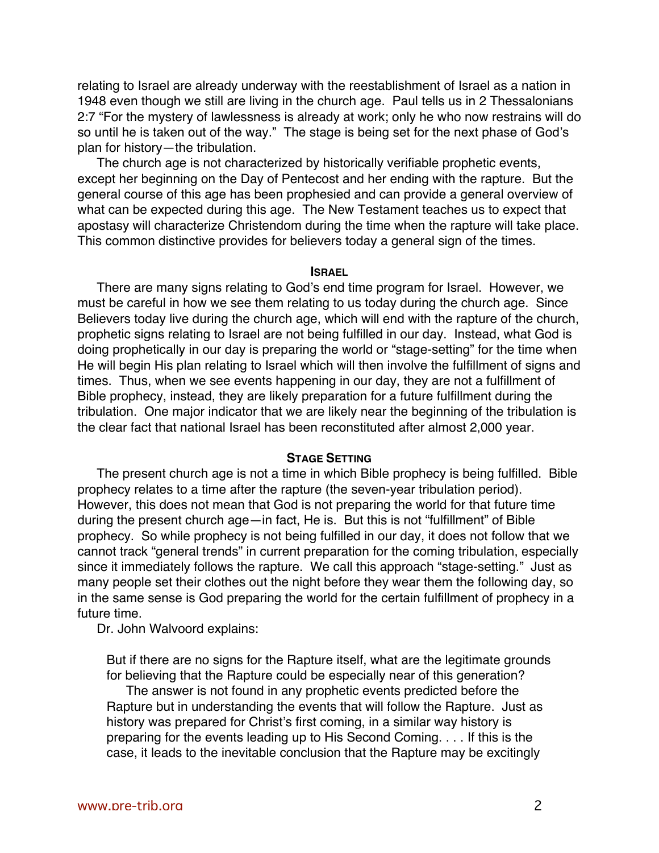relating to Israel are already underway with the reestablishment of Israel as a nation in 1948 even though we still are living in the church age. Paul tells us in 2 Thessalonians 2:7 "For the mystery of lawlessness is already at work; only he who now restrains will do so until he is taken out of the way." The stage is being set for the next phase of God's plan for history—the tribulation.

The church age is not characterized by historically verifiable prophetic events, except her beginning on the Day of Pentecost and her ending with the rapture. But the general course of this age has been prophesied and can provide a general overview of what can be expected during this age. The New Testament teaches us to expect that apostasy will characterize Christendom during the time when the rapture will take place. This common distinctive provides for believers today a general sign of the times.

#### **ISRAEL**

There are many signs relating to God's end time program for Israel. However, we must be careful in how we see them relating to us today during the church age. Since Believers today live during the church age, which will end with the rapture of the church, prophetic signs relating to Israel are not being fulfilled in our day. Instead, what God is doing prophetically in our day is preparing the world or "stage-setting" for the time when He will begin His plan relating to Israel which will then involve the fulfillment of signs and times. Thus, when we see events happening in our day, they are not a fulfillment of Bible prophecy, instead, they are likely preparation for a future fulfillment during the tribulation. One major indicator that we are likely near the beginning of the tribulation is the clear fact that national Israel has been reconstituted after almost 2,000 year.

# **STAGE SETTING**

The present church age is not a time in which Bible prophecy is being fulfilled. Bible prophecy relates to a time after the rapture (the seven-year tribulation period). However, this does not mean that God is not preparing the world for that future time during the present church age—in fact, He is. But this is not "fulfillment" of Bible prophecy. So while prophecy is not being fulfilled in our day, it does not follow that we cannot track "general trends" in current preparation for the coming tribulation, especially since it immediately follows the rapture. We call this approach "stage-setting." Just as many people set their clothes out the night before they wear them the following day, so in the same sense is God preparing the world for the certain fulfillment of prophecy in a future time.

Dr. John Walvoord explains:

But if there are no signs for the Rapture itself, what are the legitimate grounds for believing that the Rapture could be especially near of this generation?

The answer is not found in any prophetic events predicted before the Rapture but in understanding the events that will follow the Rapture. Just as history was prepared for Christ's first coming, in a similar way history is preparing for the events leading up to His Second Coming. . . . If this is the case, it leads to the inevitable conclusion that the Rapture may be excitingly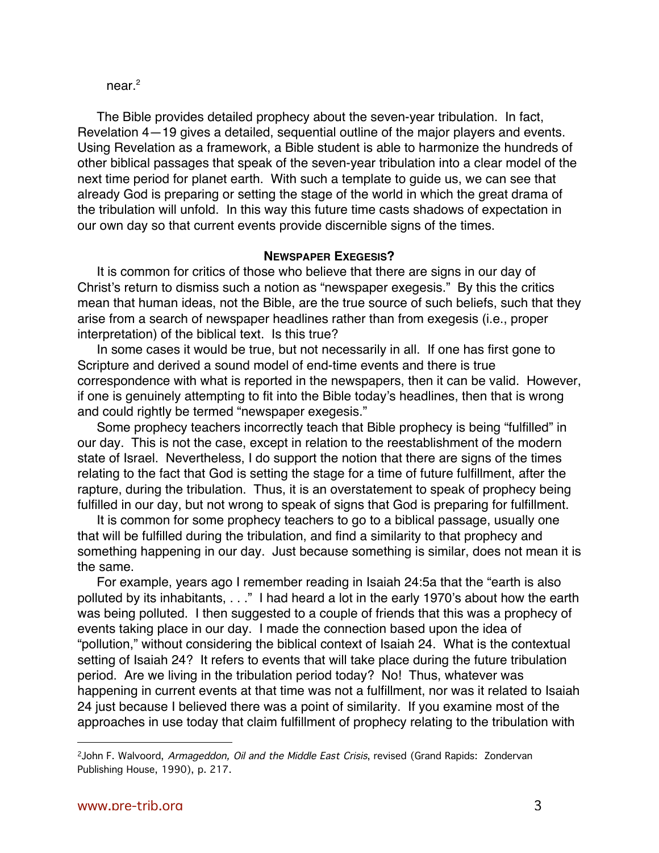# near.<sup>2</sup>

The Bible provides detailed prophecy about the seven-year tribulation. In fact, Revelation 4—19 gives a detailed, sequential outline of the major players and events. Using Revelation as a framework, a Bible student is able to harmonize the hundreds of other biblical passages that speak of the seven-year tribulation into a clear model of the next time period for planet earth. With such a template to guide us, we can see that already God is preparing or setting the stage of the world in which the great drama of the tribulation will unfold. In this way this future time casts shadows of expectation in our own day so that current events provide discernible signs of the times.

## **NEWSPAPER EXEGESIS?**

It is common for critics of those who believe that there are signs in our day of Christ's return to dismiss such a notion as "newspaper exegesis." By this the critics mean that human ideas, not the Bible, are the true source of such beliefs, such that they arise from a search of newspaper headlines rather than from exegesis (i.e., proper interpretation) of the biblical text. Is this true?

In some cases it would be true, but not necessarily in all. If one has first gone to Scripture and derived a sound model of end-time events and there is true correspondence with what is reported in the newspapers, then it can be valid. However, if one is genuinely attempting to fit into the Bible today's headlines, then that is wrong and could rightly be termed "newspaper exegesis."

Some prophecy teachers incorrectly teach that Bible prophecy is being "fulfilled" in our day. This is not the case, except in relation to the reestablishment of the modern state of Israel. Nevertheless, I do support the notion that there are signs of the times relating to the fact that God is setting the stage for a time of future fulfillment, after the rapture, during the tribulation. Thus, it is an overstatement to speak of prophecy being fulfilled in our day, but not wrong to speak of signs that God is preparing for fulfillment.

It is common for some prophecy teachers to go to a biblical passage, usually one that will be fulfilled during the tribulation, and find a similarity to that prophecy and something happening in our day. Just because something is similar, does not mean it is the same.

For example, years ago I remember reading in Isaiah 24:5a that the "earth is also polluted by its inhabitants, . . ." I had heard a lot in the early 1970's about how the earth was being polluted. I then suggested to a couple of friends that this was a prophecy of events taking place in our day. I made the connection based upon the idea of "pollution," without considering the biblical context of Isaiah 24. What is the contextual setting of Isaiah 24? It refers to events that will take place during the future tribulation period. Are we living in the tribulation period today? No! Thus, whatever was happening in current events at that time was not a fulfillment, nor was it related to Isaiah 24 just because I believed there was a point of similarity. If you examine most of the approaches in use today that claim fulfillment of prophecy relating to the tribulation with

<sup>&</sup>lt;sup>2</sup>John F. Walvoord, Armageddon, Oil and the Middle East Crisis, revised (Grand Rapids: Zondervan Publishing House, 1990), p. 217.